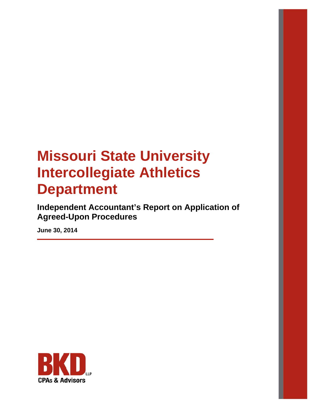**Independent Accountant's Report on Application of Agreed-Upon Procedures** 

**June 30, 2014** 

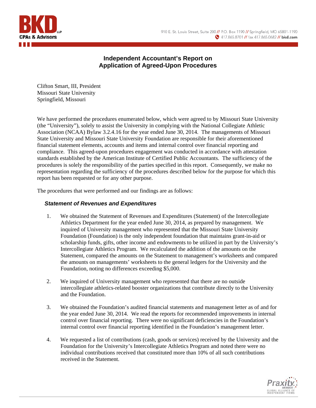

# **Independent Accountant's Report on Application of Agreed-Upon Procedures**

Clifton Smart, III, President Missouri State University Springfield, Missouri

We have performed the procedures enumerated below, which were agreed to by Missouri State University (the "University"), solely to assist the University in complying with the National Collegiate Athletic Association (NCAA) Bylaw 3.2.4.16 for the year ended June 30, 2014. The managements of Missouri State University and Missouri State University Foundation are responsible for their aforementioned financial statement elements, accounts and items and internal control over financial reporting and compliance. This agreed-upon procedures engagement was conducted in accordance with attestation standards established by the American Institute of Certified Public Accountants. The sufficiency of the procedures is solely the responsibility of the parties specified in this report. Consequently, we make no representation regarding the sufficiency of the procedures described below for the purpose for which this report has been requested or for any other purpose.

The procedures that were performed and our findings are as follows:

### *Statement of Revenues and Expenditures*

- 1. We obtained the Statement of Revenues and Expenditures (Statement) of the Intercollegiate Athletics Department for the year ended June 30, 2014, as prepared by management. We inquired of University management who represented that the Missouri State University Foundation (Foundation) is the only independent foundation that maintains grant-in-aid or scholarship funds, gifts, other income and endowments to be utilized in part by the University's Intercollegiate Athletics Program. We recalculated the addition of the amounts on the Statement, compared the amounts on the Statement to management's worksheets and compared the amounts on managements' worksheets to the general ledgers for the University and the Foundation, noting no differences exceeding \$5,000.
- 2. We inquired of University management who represented that there are no outside intercollegiate athletics-related booster organizations that contribute directly to the University and the Foundation.
- 3. We obtained the Foundation's audited financial statements and management letter as of and for the year ended June 30, 2014. We read the reports for recommended improvements in internal control over financial reporting. There were no significant deficiencies in the Foundation's internal control over financial reporting identified in the Foundation's management letter.
- 4. We requested a list of contributions (cash, goods or services) received by the University and the Foundation for the University's Intercollegiate Athletics Program and noted there were no individual contributions received that constituted more than 10% of all such contributions received in the Statement.

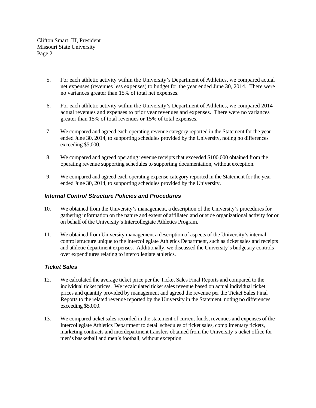- 5. For each athletic activity within the University's Department of Athletics, we compared actual net expenses (revenues less expenses) to budget for the year ended June 30, 2014. There were no variances greater than 15% of total net expenses.
- 6. For each athletic activity within the University's Department of Athletics, we compared 2014 actual revenues and expenses to prior year revenues and expenses. There were no variances greater than 15% of total revenues or 15% of total expenses.
- 7. We compared and agreed each operating revenue category reported in the Statement for the year ended June 30, 2014, to supporting schedules provided by the University, noting no differences exceeding \$5,000.
- 8. We compared and agreed operating revenue receipts that exceeded \$100,000 obtained from the operating revenue supporting schedules to supporting documentation, without exception.
- 9. We compared and agreed each operating expense category reported in the Statement for the year ended June 30, 2014, to supporting schedules provided by the University.

#### *Internal Control Structure Policies and Procedures*

- 10. We obtained from the University's management, a description of the University's procedures for gathering information on the nature and extent of affiliated and outside organizational activity for or on behalf of the University's Intercollegiate Athletics Program.
- 11. We obtained from University management a description of aspects of the University's internal control structure unique to the Intercollegiate Athletics Department, such as ticket sales and receipts and athletic department expenses. Additionally, we discussed the University's budgetary controls over expenditures relating to intercollegiate athletics.

#### *Ticket Sales*

- 12. We calculated the average ticket price per the Ticket Sales Final Reports and compared to the individual ticket prices. We recalculated ticket sales revenue based on actual individual ticket prices and quantity provided by management and agreed the revenue per the Ticket Sales Final Reports to the related revenue reported by the University in the Statement, noting no differences exceeding \$5,000.
- 13. We compared ticket sales recorded in the statement of current funds, revenues and expenses of the Intercollegiate Athletics Department to detail schedules of ticket sales, complimentary tickets, marketing contracts and interdepartment transfers obtained from the University's ticket office for men's basketball and men's football, without exception.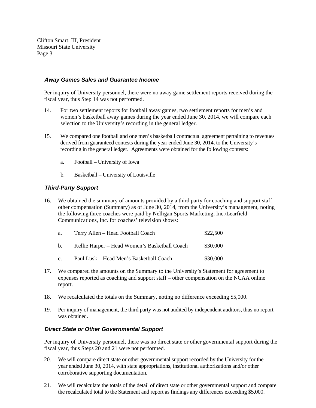#### *Away Games Sales and Guarantee Income*

Per inquiry of University personnel, there were no away game settlement reports received during the fiscal year, thus Step 14 was not performed.

- 14. For two settlement reports for football away games, two settlement reports for men's and women's basketball away games during the year ended June 30, 2014, we will compare each selection to the University's recording in the general ledger.
- 15. We compared one football and one men's basketball contractual agreement pertaining to revenues derived from guaranteed contests during the year ended June 30, 2014, to the University's recording in the general ledger. Agreements were obtained for the following contests:
	- a. Football University of Iowa
	- b. Basketball University of Louisville

#### *Third-Party Support*

16. We obtained the summary of amounts provided by a third party for coaching and support staff – other compensation (Summary) as of June 30, 2014, from the University's management, noting the following three coaches were paid by Nelligan Sports Marketing, Inc./Learfield Communications, Inc. for coaches' television shows:

| a.             | Terry Allen - Head Football Coach             | \$22,500 |
|----------------|-----------------------------------------------|----------|
| b.             | Kellie Harper – Head Women's Basketball Coach | \$30,000 |
| $\mathbf{c}$ . | Paul Lusk - Head Men's Basketball Coach       | \$30,000 |

- 17. We compared the amounts on the Summary to the University's Statement for agreement to expenses reported as coaching and support staff – other compensation on the NCAA online report.
- 18. We recalculated the totals on the Summary, noting no difference exceeding \$5,000.
- 19. Per inquiry of management, the third party was not audited by independent auditors, thus no report was obtained.

#### *Direct State or Other Governmental Support*

Per inquiry of University personnel, there was no direct state or other governmental support during the fiscal year, thus Steps 20 and 21 were not performed.

- 20. We will compare direct state or other governmental support recorded by the University for the year ended June 30, 2014, with state appropriations, institutional authorizations and/or other corroborative supporting documentation.
- 21. We will recalculate the totals of the detail of direct state or other governmental support and compare the recalculated total to the Statement and report as findings any differences exceeding \$5,000.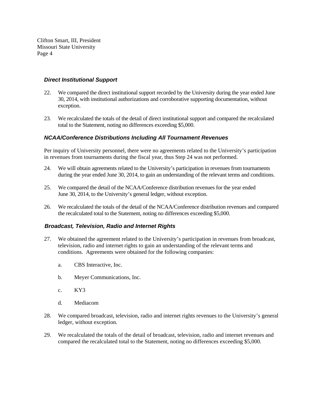#### *Direct Institutional Support*

- 22. We compared the direct institutional support recorded by the University during the year ended June 30, 2014, with institutional authorizations and corroborative supporting documentation, without exception.
- 23. We recalculated the totals of the detail of direct institutional support and compared the recalculated total to the Statement, noting no differences exceeding \$5,000.

#### *NCAA/Conference Distributions Including All Tournament Revenues*

Per inquiry of University personnel, there were no agreements related to the University's participation in revenues from tournaments during the fiscal year, thus Step 24 was not performed.

- 24. We will obtain agreements related to the University's participation in revenues from tournaments during the year ended June 30, 2014, to gain an understanding of the relevant terms and conditions.
- 25. We compared the detail of the NCAA/Conference distribution revenues for the year ended June 30, 2014, to the University's general ledger, without exception.
- 26. We recalculated the totals of the detail of the NCAA/Conference distribution revenues and compared the recalculated total to the Statement, noting no differences exceeding \$5,000.

#### *Broadcast, Television, Radio and Internet Rights*

- 27. We obtained the agreement related to the University's participation in revenues from broadcast, television, radio and internet rights to gain an understanding of the relevant terms and conditions. Agreements were obtained for the following companies:
	- a. CBS Interactive, Inc.
	- b. Meyer Communications, Inc.
	- c. KY3
	- d. Mediacom
- 28. We compared broadcast, television, radio and internet rights revenues to the University's general ledger, without exception.
- 29. We recalculated the totals of the detail of broadcast, television, radio and internet revenues and compared the recalculated total to the Statement, noting no differences exceeding \$5,000.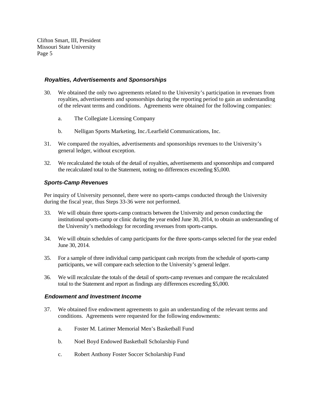#### *Royalties, Advertisements and Sponsorships*

- 30. We obtained the only two agreements related to the University's participation in revenues from royalties, advertisements and sponsorships during the reporting period to gain an understanding of the relevant terms and conditions. Agreements were obtained for the following companies:
	- a. The Collegiate Licensing Company
	- b. Nelligan Sports Marketing, Inc./Learfield Communications, Inc.
- 31. We compared the royalties, advertisements and sponsorships revenues to the University's general ledger, without exception.
- 32. We recalculated the totals of the detail of royalties, advertisements and sponsorships and compared the recalculated total to the Statement, noting no differences exceeding \$5,000.

#### *Sports-Camp Revenues*

Per inquiry of University personnel, there were no sports-camps conducted through the University during the fiscal year, thus Steps 33-36 were not performed.

- 33. We will obtain three sports-camp contracts between the University and person conducting the institutional sports-camp or clinic during the year ended June 30, 2014, to obtain an understanding of the University's methodology for recording revenues from sports-camps.
- 34. We will obtain schedules of camp participants for the three sports-camps selected for the year ended June 30, 2014.
- 35. For a sample of three individual camp participant cash receipts from the schedule of sports-camp participants, we will compare each selection to the University's general ledger.
- 36. We will recalculate the totals of the detail of sports-camp revenues and compare the recalculated total to the Statement and report as findings any differences exceeding \$5,000.

#### *Endowment and Investment Income*

- 37. We obtained five endowment agreements to gain an understanding of the relevant terms and conditions. Agreements were requested for the following endowments:
	- a. Foster M. Latimer Memorial Men's Basketball Fund
	- b. Noel Boyd Endowed Basketball Scholarship Fund
	- c. Robert Anthony Foster Soccer Scholarship Fund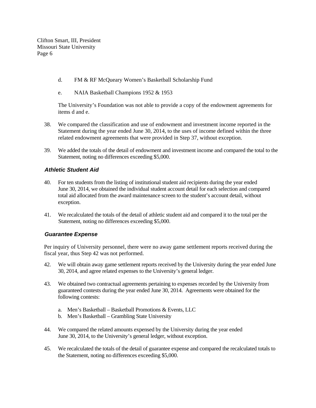- d. FM & RF McQueary Women's Basketball Scholarship Fund
- e. NAIA Basketball Champions 1952 & 1953

The University's Foundation was not able to provide a copy of the endowment agreements for items d and e.

- 38. We compared the classification and use of endowment and investment income reported in the Statement during the year ended June 30, 2014, to the uses of income defined within the three related endowment agreements that were provided in Step 37, without exception.
- 39. We added the totals of the detail of endowment and investment income and compared the total to the Statement, noting no differences exceeding \$5,000.

#### *Athletic Student Aid*

- 40. For ten students from the listing of institutional student aid recipients during the year ended June 30, 2014, we obtained the individual student account detail for each selection and compared total aid allocated from the award maintenance screen to the student's account detail, without exception.
- 41. We recalculated the totals of the detail of athletic student aid and compared it to the total per the Statement, noting no differences exceeding \$5,000.

#### *Guarantee Expense*

Per inquiry of University personnel, there were no away game settlement reports received during the fiscal year, thus Step 42 was not performed.

- 42. We will obtain away game settlement reports received by the University during the year ended June 30, 2014, and agree related expenses to the University's general ledger.
- 43. We obtained two contractual agreements pertaining to expenses recorded by the University from guaranteed contests during the year ended June 30, 2014. Agreements were obtained for the following contests:
	- a. Men's Basketball Basketball Promotions & Events, LLC
	- b. Men's Basketball Grambling State University
- 44. We compared the related amounts expensed by the University during the year ended June 30, 2014, to the University's general ledger, without exception.
- 45. We recalculated the totals of the detail of guarantee expense and compared the recalculated totals to the Statement, noting no differences exceeding \$5,000.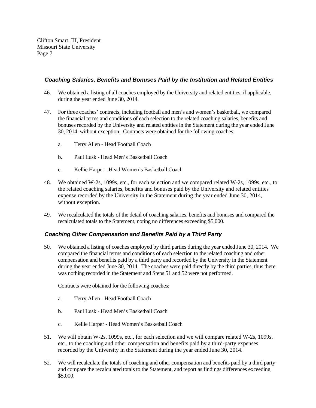#### *Coaching Salaries, Benefits and Bonuses Paid by the Institution and Related Entities*

- 46. We obtained a listing of all coaches employed by the University and related entities, if applicable, during the year ended June 30, 2014.
- 47. For three coaches' contracts, including football and men's and women's basketball, we compared the financial terms and conditions of each selection to the related coaching salaries, benefits and bonuses recorded by the University and related entities in the Statement during the year ended June 30, 2014, without exception. Contracts were obtained for the following coaches:
	- a. Terry Allen Head Football Coach
	- b. Paul Lusk Head Men's Basketball Coach
	- c. Kellie Harper Head Women's Basketball Coach
- 48. We obtained W-2s, 1099s, etc., for each selection and we compared related W-2s, 1099s, etc., to the related coaching salaries, benefits and bonuses paid by the University and related entities expense recorded by the University in the Statement during the year ended June 30, 2014, without exception.
- 49. We recalculated the totals of the detail of coaching salaries, benefits and bonuses and compared the recalculated totals to the Statement, noting no differences exceeding \$5,000.

#### *Coaching Other Compensation and Benefits Paid by a Third Party*

50. We obtained a listing of coaches employed by third parties during the year ended June 30, 2014. We compared the financial terms and conditions of each selection to the related coaching and other compensation and benefits paid by a third party and recorded by the University in the Statement during the year ended June 30, 2014. The coaches were paid directly by the third parties, thus there was nothing recorded in the Statement and Steps 51 and 52 were not performed.

Contracts were obtained for the following coaches:

- a. Terry Allen Head Football Coach
- b. Paul Lusk Head Men's Basketball Coach
- c. Kellie Harper Head Women's Basketball Coach
- 51. We will obtain W-2s, 1099s, etc., for each selection and we will compare related W-2s, 1099s, etc., to the coaching and other compensation and benefits paid by a third-party expenses recorded by the University in the Statement during the year ended June 30, 2014.
- 52. We will recalculate the totals of coaching and other compensation and benefits paid by a third party and compare the recalculated totals to the Statement, and report as findings differences exceeding \$5,000.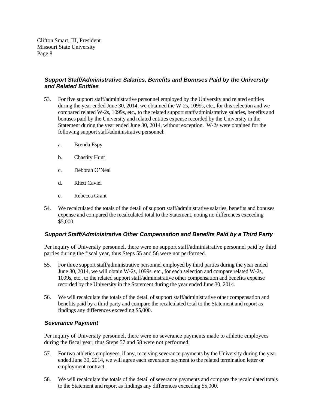#### *Support Staff/Administrative Salaries, Benefits and Bonuses Paid by the University and Related Entities*

- 53. For five support staff/administrative personnel employed by the University and related entities during the year ended June 30, 2014, we obtained the W-2s, 1099s, etc., for this selection and we compared related W-2s, 1099s, etc., to the related support staff/administrative salaries, benefits and bonuses paid by the University and related entities expense recorded by the University in the Statement during the year ended June 30, 2014, without exception. W-2s were obtained for the following support staff/administrative personnel:
	- a. Brenda Espy
	- b. Chastity Hunt
	- c. Deborah O'Neal
	- d. Rhett Caviel
	- e. Rebecca Grant
- 54. We recalculated the totals of the detail of support staff/administrative salaries, benefits and bonuses expense and compared the recalculated total to the Statement, noting no differences exceeding \$5,000.

#### *Support Staff/Administrative Other Compensation and Benefits Paid by a Third Party*

Per inquiry of University personnel, there were no support staff/administrative personnel paid by third parties during the fiscal year, thus Steps 55 and 56 were not performed.

- 55. For three support staff/administrative personnel employed by third parties during the year ended June 30, 2014, we will obtain W-2s, 1099s, etc., for each selection and compare related W-2s, 1099s, etc., to the related support staff/administrative other compensation and benefits expense recorded by the University in the Statement during the year ended June 30, 2014.
- 56. We will recalculate the totals of the detail of support staff/administrative other compensation and benefits paid by a third party and compare the recalculated total to the Statement and report as findings any differences exceeding \$5,000.

#### *Severance Payment*

Per inquiry of University personnel, there were no severance payments made to athletic employees during the fiscal year, thus Steps 57 and 58 were not performed.

- 57. For two athletics employees, if any, receiving severance payments by the University during the year ended June 30, 2014, we will agree each severance payment to the related termination letter or employment contract.
- 58. We will recalculate the totals of the detail of severance payments and compare the recalculated totals to the Statement and report as findings any differences exceeding \$5,000.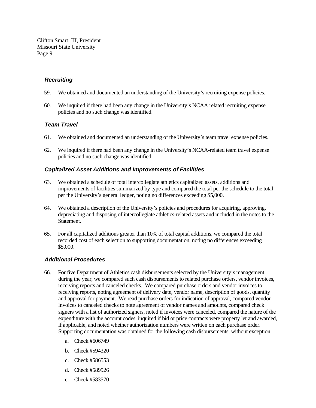#### *Recruiting*

- 59. We obtained and documented an understanding of the University's recruiting expense policies.
- 60. We inquired if there had been any change in the University's NCAA related recruiting expense policies and no such change was identified.

#### *Team Travel*

- 61. We obtained and documented an understanding of the University's team travel expense policies.
- 62. We inquired if there had been any change in the University's NCAA-related team travel expense policies and no such change was identified.

#### *Capitalized Asset Additions and Improvements of Facilities*

- 63. We obtained a schedule of total intercollegiate athletics capitalized assets, additions and improvements of facilities summarized by type and compared the total per the schedule to the total per the University's general ledger, noting no differences exceeding \$5,000.
- 64. We obtained a description of the University's policies and procedures for acquiring, approving, depreciating and disposing of intercollegiate athletics-related assets and included in the notes to the Statement.
- 65. For all capitalized additions greater than 10% of total capital additions, we compared the total recorded cost of each selection to supporting documentation, noting no differences exceeding \$5,000.

#### *Additional Procedures*

- 66. For five Department of Athletics cash disbursements selected by the University's management during the year, we compared such cash disbursements to related purchase orders, vendor invoices, receiving reports and canceled checks. We compared purchase orders and vendor invoices to receiving reports, noting agreement of delivery date, vendor name, description of goods, quantity and approval for payment. We read purchase orders for indication of approval, compared vendor invoices to canceled checks to note agreement of vendor names and amounts, compared check signers with a list of authorized signers, noted if invoices were canceled, compared the nature of the expenditure with the account codes, inquired if bid or price contracts were property let and awarded, if applicable, and noted whether authorization numbers were written on each purchase order. Supporting documentation was obtained for the following cash disbursements, without exception:
	- a. Check #606749
	- b. Check #594320
	- c. Check #586553
	- d. Check #589926
	- e. Check #583570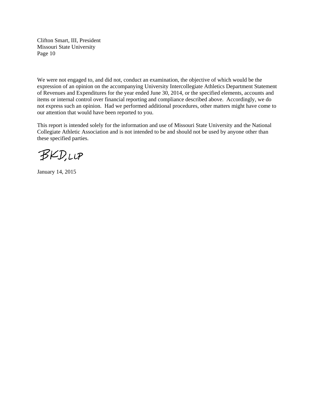We were not engaged to, and did not, conduct an examination, the objective of which would be the expression of an opinion on the accompanying University Intercollegiate Athletics Department Statement of Revenues and Expenditures for the year ended June 30, 2014, or the specified elements, accounts and items or internal control over financial reporting and compliance described above. Accordingly, we do not express such an opinion. Had we performed additional procedures, other matters might have come to our attention that would have been reported to you.

This report is intended solely for the information and use of Missouri State University and the National Collegiate Athletic Association and is not intended to be and should not be used by anyone other than these specified parties.

**BKD,LLP** 

January 14, 2015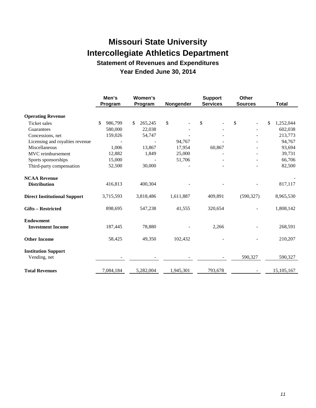**Statement of Revenues and Expenditures Year Ended June 30, 2014** 

|                                            | Men's<br>Program | Women's<br>Program | Nongender | <b>Support</b><br><b>Services</b> | Other<br><b>Sources</b> | <b>Total</b>    |
|--------------------------------------------|------------------|--------------------|-----------|-----------------------------------|-------------------------|-----------------|
| <b>Operating Revenue</b>                   |                  |                    |           |                                   |                         |                 |
| <b>Ticket sales</b>                        | 986,799<br>\$    | 265,245<br>\$      | \$        | \$                                | \$                      | 1,252,044<br>\$ |
| Guarantees                                 | 580,000          | 22,038             |           |                                   |                         | 602,038         |
| Concessions, net                           | 159,026          | 54,747             |           |                                   |                         | 213,773         |
| Licensing and royalties revenue            |                  |                    | 94,767    |                                   |                         | 94,767          |
| Miscellaneous                              | 1,006            | 13,867             | 17,954    | 60,867                            |                         | 93,694          |
| MVC reimbursement                          | 12,882           | 1,849              | 25,000    |                                   |                         | 39,731          |
| Sports sponsorships                        | 15,000           |                    | 51,706    |                                   |                         | 66,706          |
| Third-party compensation                   | 52,500           | 30,000             |           |                                   |                         | 82,500          |
| <b>NCAA Revenue</b>                        |                  |                    |           |                                   |                         |                 |
| <b>Distribution</b>                        | 416,813          | 400,304            |           |                                   |                         | 817,117         |
| <b>Direct Institutional Support</b>        | 3,715,593        | 3,818,486          | 1,611,887 | 409,891                           | (590, 327)              | 8,965,530       |
| <b>Gifts - Restricted</b>                  | 898,695          | 547,238            | 41,555    | 320,654                           |                         | 1,808,142       |
| <b>Endowment</b>                           |                  |                    |           |                                   |                         |                 |
| <b>Investment Income</b>                   | 187,445          | 78,880             |           | 2,266                             |                         | 268,591         |
| <b>Other Income</b>                        | 58,425           | 49,350             | 102,432   |                                   |                         | 210,207         |
| <b>Institution Support</b><br>Vending, net |                  |                    |           |                                   | 590,327                 | 590,327         |
| <b>Total Revenues</b>                      | 7,084,184        | 5,282,004          | 1,945,301 | 793,678                           |                         | 15,105,167      |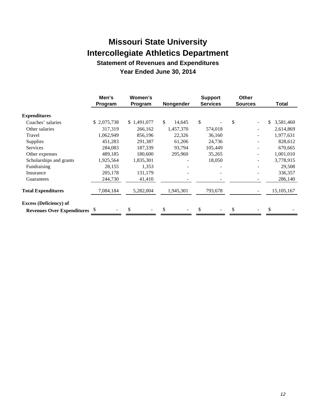**Statement of Revenues and Expenditures Year Ended June 30, 2014** 

|                                      | Men's<br>Program | Women's<br>Program | Nongender    | <b>Support</b><br><b>Services</b> | <b>Other</b><br><b>Sources</b> | Total           |
|--------------------------------------|------------------|--------------------|--------------|-----------------------------------|--------------------------------|-----------------|
| <b>Expenditures</b>                  |                  |                    |              |                                   |                                |                 |
| Coaches' salaries                    | \$2,075,738      | \$1,491,077        | \$<br>14,645 | \$                                | \$                             | \$<br>3,581,460 |
| Other salaries                       | 317,319          | 266,162            | 1,457,370    | 574,018                           |                                | 2,614,869       |
| Travel                               | 1,062,949        | 856,196            | 22,326       | 36,160                            |                                | 1,977,631       |
| <b>Supplies</b>                      | 451,283          | 291,387            | 61,206       | 24,736                            |                                | 828,612         |
| <b>Services</b>                      | 284,083          | 187,339            | 93,794       | 105,449                           |                                | 670,665         |
| Other expenses                       | 489,185          | 180,600            | 295,960      | 35,265                            | $\overline{\phantom{a}}$       | 1,001,010       |
| Scholarships and grants              | 1,925,564        | 1,835,301          |              | 18,050                            |                                | 3,778,915       |
| Fundraising                          | 28,155           | 1,353              |              |                                   |                                | 29,508          |
| Insurance                            | 205,178          | 131,179            |              |                                   |                                | 336,357         |
| Guarantees                           | 244,730          | 41,410             |              |                                   |                                | 286,140         |
| <b>Total Expenditures</b>            | 7,084,184        | 5,282,004          | 1,945,301    | 793,678                           |                                | 15, 105, 167    |
| <b>Excess (Deficiency) of</b>        |                  |                    |              |                                   |                                |                 |
| <b>Revenues Over Expenditures</b> \$ |                  | \$                 |              | \$                                | \$                             | \$              |